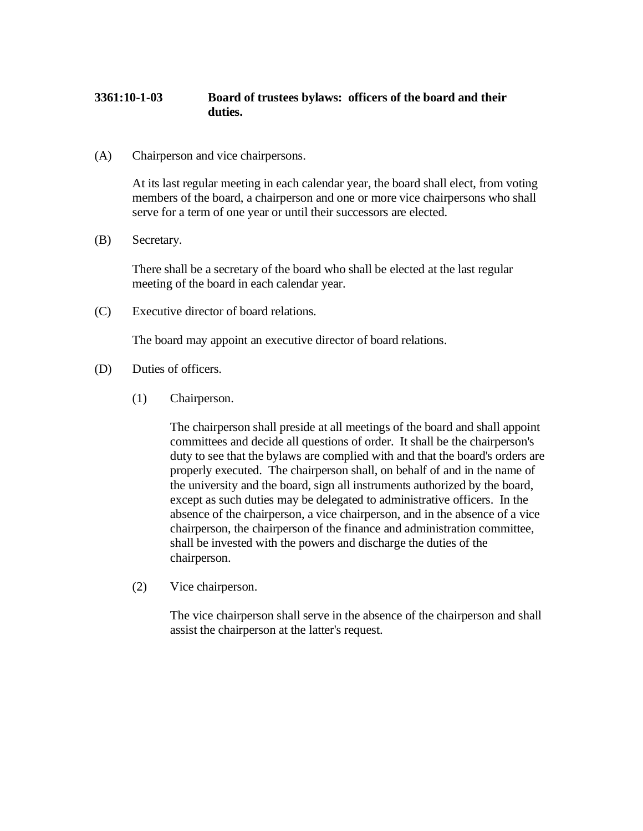## **3361:10-1-03 Board of trustees bylaws: officers of the board and their duties.**

(A) Chairperson and vice chairpersons.

At its last regular meeting in each calendar year, the board shall elect, from voting members of the board, a chairperson and one or more vice chairpersons who shall serve for a term of one year or until their successors are elected.

(B) Secretary.

There shall be a secretary of the board who shall be elected at the last regular meeting of the board in each calendar year.

(C) Executive director of board relations.

The board may appoint an executive director of board relations.

- (D) Duties of officers.
	- (1) Chairperson.

The chairperson shall preside at all meetings of the board and shall appoint committees and decide all questions of order. It shall be the chairperson's duty to see that the bylaws are complied with and that the board's orders are properly executed. The chairperson shall, on behalf of and in the name of the university and the board, sign all instruments authorized by the board, except as such duties may be delegated to administrative officers. In the absence of the chairperson, a vice chairperson, and in the absence of a vice chairperson, the chairperson of the finance and administration committee, shall be invested with the powers and discharge the duties of the chairperson.

(2) Vice chairperson.

The vice chairperson shall serve in the absence of the chairperson and shall assist the chairperson at the latter's request.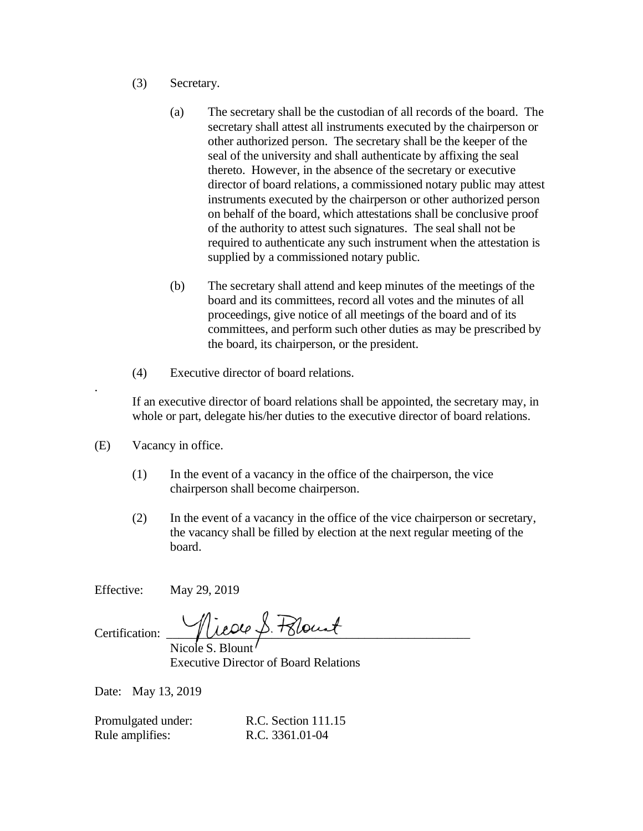- (3) Secretary.
	- (a) The secretary shall be the custodian of all records of the board. The secretary shall attest all instruments executed by the chairperson or other authorized person. The secretary shall be the keeper of the seal of the university and shall authenticate by affixing the seal thereto. However, in the absence of the secretary or executive director of board relations, a commissioned notary public may attest instruments executed by the chairperson or other authorized person on behalf of the board, which attestations shall be conclusive proof of the authority to attest such signatures. The seal shall not be required to authenticate any such instrument when the attestation is supplied by a commissioned notary public.
	- (b) The secretary shall attend and keep minutes of the meetings of the board and its committees, record all votes and the minutes of all proceedings, give notice of all meetings of the board and of its committees, and perform such other duties as may be prescribed by the board, its chairperson, or the president.
- (4) Executive director of board relations.

If an executive director of board relations shall be appointed, the secretary may, in whole or part, delegate his/her duties to the executive director of board relations.

(E) Vacancy in office.

.

- (1) In the event of a vacancy in the office of the chairperson, the vice chairperson shall become chairperson.
- (2) In the event of a vacancy in the office of the vice chairperson or secretary, the vacancy shall be filled by election at the next regular meeting of the board.

Effective: May 29, 2019

 $\text{Certification:}\qquad\qquad \text{Trace}\not \Rightarrow\text{Flout}$ 

Nicole S. Blount Executive Director of Board Relations

Date: May 13, 2019

Promulgated under: R.C. Section 111.15 Rule amplifies: R.C. 3361.01-04